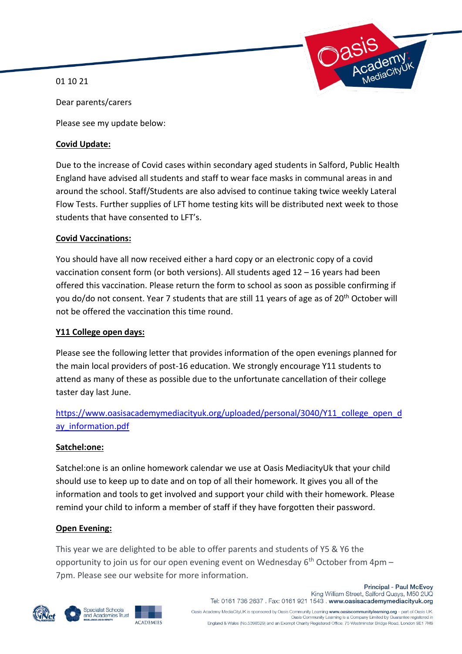01 10 21



Dear parents/carers

Please see my update below:

#### **Covid Update:**

Due to the increase of Covid cases within secondary aged students in Salford, Public Health England have advised all students and staff to wear face masks in communal areas in and around the school. Staff/Students are also advised to continue taking twice weekly Lateral Flow Tests. Further supplies of LFT home testing kits will be distributed next week to those students that have consented to LFT's.

#### **Covid Vaccinations:**

You should have all now received either a hard copy or an electronic copy of a covid vaccination consent form (or both versions). All students aged  $12 - 16$  years had been offered this vaccination. Please return the form to school as soon as possible confirming if you do/do not consent. Year 7 students that are still 11 years of age as of 20<sup>th</sup> October will not be offered the vaccination this time round.

### **Y11 College open days:**

Please see the following letter that provides information of the open evenings planned for the main local providers of post-16 education. We strongly encourage Y11 students to attend as many of these as possible due to the unfortunate cancellation of their college taster day last June.

# [https://www.oasisacademymediacityuk.org/uploaded/personal/3040/Y11\\_college\\_open\\_d](https://www.oasisacademymediacityuk.org/uploaded/personal/3040/Y11_college_open_day_information.pdf) ay information.pdf

### **Satchel:one:**

Satchel:one is an online homework calendar we use at Oasis MediacityUk that your child should use to keep up to date and on top of all their homework. It gives you all of the information and tools to get involved and support your child with their homework. Please remind your child to inform a member of staff if they have forgotten their password.

### **Open Evening:**

This year we are delighted to be able to offer parents and students of Y5 & Y6 the opportunity to join us for our open evening event on Wednesday  $6<sup>th</sup>$  October from 4pm – 7pm. Please see our website for more information.





**ACADEMIES** 

**Principal - Paul McEvoy** King William Street, Salford Quays, M50 2UQ Tel: 0161 736 2637 . Fax: 0161 921 1543 . www.oasisacademymediacityuk.org Oasis Academy MediaCityUK is sponsored by Oasis Community Learning www.oasiscommunitylearning.org - part of Oasis UK.<br>Oasis Community Learning is a Company Limited by Guarantee registered in

England & Wales (No.5398529) and an Exempt Charity Registered Office: 75 Westminster Bridge Road, London SE1 7HS